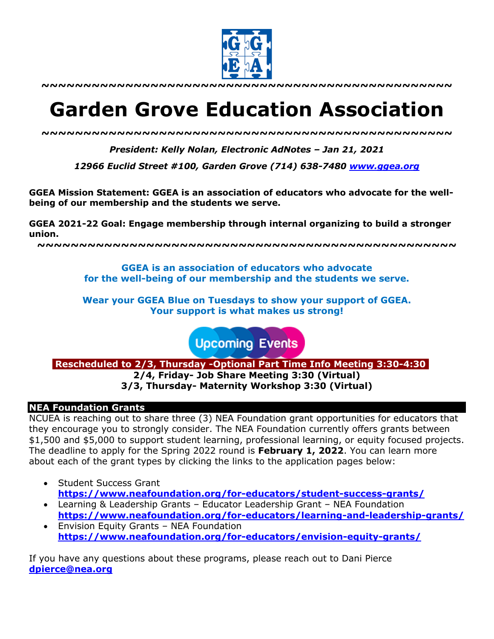

**~~~~~~~~~~~~~~~~~~~~~~~~~~~~~~~~~~~~~~~~~~~~~~~~~**

# **Garden Grove Education Association**

*~~~~~~~~~~~~~~~~~~~~~~~~~~~~~~~~~~~~~~~~~~~~~~~~~*

*President: Kelly Nolan, Electronic AdNotes – Jan 21, 2021*

*12966 Euclid Street #100, Garden Grove (714) 638-7480 www.ggea.org*

**GGEA Mission Statement: GGEA is an association of educators who advocate for the wellbeing of our membership and the students we serve.** 

**GGEA 2021-22 Goal: Engage membership through internal organizing to build a stronger union.**

**~~~~~~~~~~~~~~~~~~~~~~~~~~~~~~~~~~~~~~~~~~~~~~~~~~**

**GGEA is an association of educators who advocate for the well-being of our membership and the students we serve.**

**Wear your GGEA Blue on Tuesdays to show your support of GGEA. Your support is what makes us strong!**

**Upcoming Events** 

**Rescheduled to 2/3, Thursday -Optional Part Time Info Meeting 3:30-4:30 2/4, Friday- Job Share Meeting 3:30 (Virtual) 3/3, Thursday- Maternity Workshop 3:30 (Virtual)**

#### **NEA Foundation Grants**

NCUEA is reaching out to share three (3) NEA Foundation grant opportunities for educators that they encourage you to strongly consider. The NEA Foundation currently offers grants between \$1,500 and \$5,000 to support student learning, professional learning, or equity focused projects. The deadline to apply for the Spring 2022 round is **February 1, 2022**. You can learn more about each of the grant types by clicking the links to the application pages below:

- Student Success Grant **https://www.neafoundation.org/for-educators/student-success-grants/**
- Learning & Leadership Grants Educator Leadership Grant NEA Foundation **https://www.neafoundation.org/for-educators/learning-and-leadership-grants/**
- Envision Equity Grants NEA Foundation **https://www.neafoundation.org/for-educators/envision-equity-grants/**

If you have any questions about these programs, please reach out to Dani Pierce **dpierce@nea.org**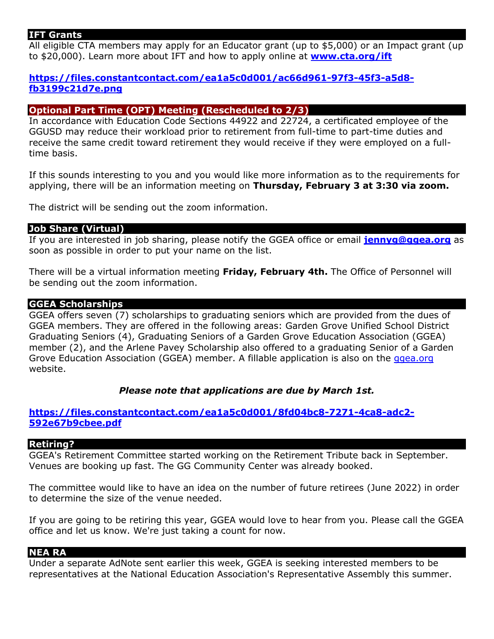## **IFT Grants**

All eligible CTA members may apply for an Educator grant (up to \$5,000) or an Impact grant (up to \$20,000). Learn more about IFT and how to apply online at **www.cta.org/ift**

## **https://files.constantcontact.com/ea1a5c0d001/ac66d961-97f3-45f3-a5d8 fb3199c21d7e.png**

## **Optional Part Time (OPT) Meeting (Rescheduled to 2/3)**

In accordance with Education Code Sections 44922 and 22724, a certificated employee of the GGUSD may reduce their workload prior to retirement from full-time to part-time duties and receive the same credit toward retirement they would receive if they were employed on a fulltime basis.

If this sounds interesting to you and you would like more information as to the requirements for applying, there will be an information meeting on **Thursday, February 3 at 3:30 via zoom.**

The district will be sending out the zoom information.

## **Job Share (Virtual)**

If you are interested in job sharing, please notify the GGEA office or email **jennyg@ggea.org** as soon as possible in order to put your name on the list.

There will be a virtual information meeting **Friday, February 4th.** The Office of Personnel will be sending out the zoom information.

## **GGEA Scholarships**

GGEA offers seven (7) scholarships to graduating seniors which are provided from the dues of GGEA members. They are offered in the following areas: Garden Grove Unified School District Graduating Seniors (4), Graduating Seniors of a Garden Grove Education Association (GGEA) member (2), and the Arlene Pavey Scholarship also offered to a graduating Senior of a Garden Grove Education Association (GGEA) member. A fillable application is also on the ggea.org website.

## *Please note that applications are due by March 1st.*

## **https://files.constantcontact.com/ea1a5c0d001/8fd04bc8-7271-4ca8-adc2- 592e67b9cbee.pdf**

#### **Retiring?**

GGEA's Retirement Committee started working on the Retirement Tribute back in September. Venues are booking up fast. The GG Community Center was already booked.

The committee would like to have an idea on the number of future retirees (June 2022) in order to determine the size of the venue needed.

If you are going to be retiring this year, GGEA would love to hear from you. Please call the GGEA office and let us know. We're just taking a count for now.

#### **NEA RA**

Under a separate AdNote sent earlier this week, GGEA is seeking interested members to be representatives at the National Education Association's Representative Assembly this summer.